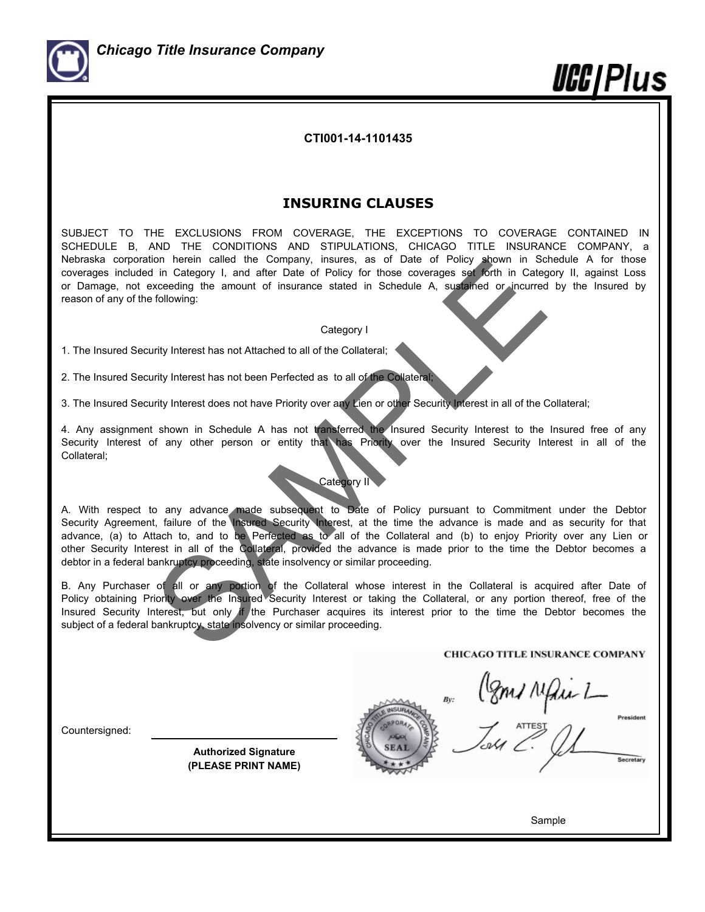

*llCC|Plus* 

**CTI001-14-1101435**

# **INSURING CLAUSES**

SUBJECT TO THE EXCLUSIONS FROM COVERAGE, THE EXCEPTIONS TO COVERAGE CONTAINED IN SCHEDULE B, AND THE CONDITIONS AND STIPULATIONS, CHICAGO TITLE INSURANCE COMPANY, a Nebraska corporation herein called the Company, insures, as of Date of Policy shown in Schedule A for those coverages included in Category I, and after Date of Policy for those coverages set forth in Category II, against Loss or Damage, not exceeding the amount of insurance stated in Schedule A, sustained or incurred by the Insured by reason of any of the following:

# Category I

1. The Insured Security Interest has not Attached to all of the Collateral;

2. The Insured Security Interest has not been Perfected as to all of the Collateral;

3. The Insured Security Interest does not have Priority over any Lien or other Security Interest in all of the Collateral;

4. Any assignment shown in Schedule A has not transferred the Insured Security Interest to the Insured free of any Security Interest of any other person or entity that has Priority over the Insured Security Interest in all of the Collateral;

# Category II

A. With respect to any advance made subsequent to Date of Policy pursuant to Commitment under the Debtor Security Agreement, failure of the Insured Security Interest, at the time the advance is made and as security for that advance, (a) to Attach to, and to be Perfected as to all of the Collateral and (b) to enjoy Priority over any Lien or other Security Interest in all of the Collateral, provided the advance is made prior to the time the Debtor becomes a debtor in a federal bankruptcy proceeding, state insolvency or similar proceeding. Their called the Company, insures, as of Date of Poincy and the Company in Schedule A, sustained the Control of International Category I.<br>
It in Category I, and after Date Date of Poincy for those coverages set forth in Ca

B. Any Purchaser of all or any portion of the Collateral whose interest in the Collateral is acquired after Date of Policy obtaining Priority over the Insured Security Interest or taking the Collateral, or any portion thereof, free of the Insured Security Interest, but only if the Purchaser acquires its interest prior to the time the Debtor becomes the subject of a federal bankruptcy, state insolvency or similar proceeding.

Countersigned:

**Authorized Signature (PLEASE PRINT NAME)**

Poms Mais 1

Sample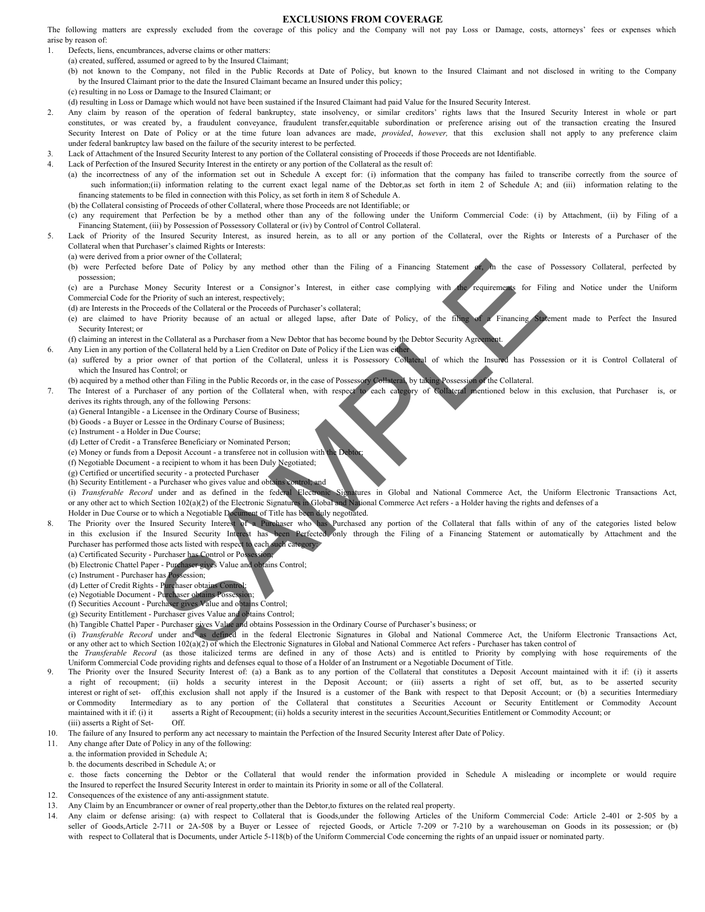# **EXCLUSIONS FROM COVERAGE**

The following matters are expressly excluded from the coverage of this policy and the Company will not pay Loss or Damage, costs, attorneys' fees or expenses which arise by reason of:

1. Defects, liens, encumbrances, adverse claims or other matters: (a) created, suffered, assumed or agreed to by the Insured Claimant;

(b) not known to the Company, not filed in the Public Records at Date of Policy, but known to the Insured Claimant and not disclosed in writing to the Company by the Insured Claimant prior to the date the Insured Claimant became an Insured under this policy; (c) resulting in no Loss or Damage to the Insured Claimant; or

(d) resulting in Loss or Damage which would not have been sustained if the Insured Claimant had paid Value for the Insured Security Interest.

2. Any claim by reason of the operation of federal bankruptcy, state insolvency, or similar creditors' rights laws that the Insured Security Interest in whole or part constitutes, or was created by, a fraudulent conveyance, fraudulent transfer,equitable subordination or preference arising out of the transaction creating the Insured Security Interest on Date of Policy or at the time future loan advances are made, *provided*, *however,* that thisexclusion shall not apply to any preference claim under federal bankruptcy law based on the failure of the security interest to be perfected.

- 3*.* Lack of Attachment of the Insured Security Interest to any portion of the Collateral consisting of Proceeds if those Proceeds are not Identifiable.
- Lack of Perfection of the Insured Security Interest in the entirety or any portion of the Collateral as the result of:

(a) the incorrectness of any of the information set out in Schedule A except for: (i) information that the company has failed to transcribe correctly from the source of such information;(ii) information relating to the current exact legal name of the Debtor,as set forth in item 2 of Schedule A; and (iii) information relating to the financing statements to be filed in connection with this Policy, as set forth in item 8 of Schedule A.

- (b) the Collateral consisting of Proceeds of other Collateral, where those Proceeds are not Identifiable; or
- (c) any requirement that Perfection be by a method other than any of the following under the Uniform Commercial Code: ( i) by Attachment, (ii) by Filing of a Financing Statement, (iii) by Possession of Possessory Collateral or (iv) by Control of Control Collateral.
- 5. Lack of Priority of the Insured Security Interest, as insured herein, as to all or any portion of the Collateral, over the Rights or Interests of a Purchaser of the Collateral when that Purchaser's claimed Rights or Interests:
	- (a) were derived from a prior owner of the Collateral;
	- (b) were Perfected before Date of Policy by any method other than the Filing of a Financing Statement or, in the case of Possessory Collateral, perfected by possession;

(c) are a Purchase Money Security Interest or a Consignor's Interest, in either case complying with the requirements for Filing and Notice under the Uniform Commercial Code for the Priority of such an interest, respectively;

- (d) are Interests in the Proceeds of the Collateral or the Proceeds of Purchaser's collateral;
- (e) are claimed to have Priority because of an actual or alleged lapse, after Date of Policy, of the filing of a Financing Statement made to Perfect the Insured Security Interest; or
- (f) claiming an interest in the Collateral as a Purchaser from a New Debtor that has become bound by the Debtor Security Agree
- 6. Any Lien in any portion of the Collateral held by a Lien Creditor on Date of Policy if the Lien was eit
	- (a) suffered by a prior owner of that portion of the Collateral, unless it is Possessory Collateral of which the Insured has Possession or it is Control Collateral of which the Insured has Control; or
	- (b) acquired by a method other than Filing in the Public Records or, in the case of Possessory Collateral, by taking Possession of the Collateral.
- 7. The Interest of a Purchaser of any portion of the Collateral when, with respect to each category of Collateral mentioned below in this exclusion, that Purchaser is, or derives its rights through, any of the following Persons:
	- (a) General Intangible a Licensee in the Ordinary Course of Business;
		- (b) Goods a Buyer or Lessee in the Ordinary Course of Business;
		- (c) Instrument a Holder in Due Course;
		- (d) Letter of Credit a Transferee Beneficiary or Nominated Person;
		- (e) Money or funds from a Deposit Account a transferee not in collusion with
		- (f) Negotiable Document a recipient to whom it has been Duly Negotiated;
		- (g) Certified or uncertified security a protected Purchaser
		- (h) Security Entitlement a Purchaser who gives value and obtains control; and

(i) *Transferable Record* under and as defined in the federal Electronic Signatures in Global and National Commerce Act, the Uniform Electronic Transactions Act, or any other act to which Section 102(a)(2) of the Electronic Signatures in Global and National Commerce Act refers - a Holder having the rights and defenses of a Holder in Due Course or to which a Negotiable Document of Title has been duly negotiated.

- 8. The Priority over the Insured Security Interest of a Purchaser who has Purchased any portion of the Collateral that falls within of any of the categories listed below in this exclusion if the Insured Security Interest has been Perfected only through the Filing of a Financing Statement or automatically by Attachment and the Purchaser has performed those acts listed with respect to each such category The two-structures are the contributed and the control of the control of the control of the control of the control of the control of the control of the control of the control of the control of the control of the control of
	- (a) Certificated Security Purchaser has Control or Possession
	- (b) Electronic Chattel Paper Purchaser gives Value and obtains Control;
	- (c) Instrument Purchaser has Possession;
	- (d) Letter of Credit Rights Purchaser obtains Control
	- (e) Negotiable Document Purchaser obtains Possess
	- (f) Securities Account Purchaser gives Value and obtains Control;
	- (g) Security Entitlement Purchaser gives Value and obtains Control;
	- (h) Tangible Chattel Paper Purchaser gives Value and obtains Possession in the Ordinary Course of Purchaser's business; or

(i) *Transferable Record* under and as defined in the federal Electronic Signatures in Global and National Commerce Act, the Uniform Electronic Transactions Act, or any other act to which Section 102(a)(2) of which the Electronic Signatures in Global and National Commerce Act refers - Purchaser has taken control of

- the *Transferable Record* (as those italicized terms are defined in any of those Acts) and is entitled to Priority by complying with hose requirements of the Uniform Commercial Code providing rights and defenses equal to those of a Holder of an Instrument or a Negotiable Document of Title.
- The Priority over the Insured Security Interest of: (a) a Bank as to any portion of the Collateral that constitutes a Deposit Account maintained with it if: (i) it asserts a right of recoupment; (ii) holds a security interest in the Deposit Account; or (iii) asserts a right of set off, but, as to be asserted security interest or right of set- off,this exclusion shall not apply if the Insured is a customer of the Bank with respect to that Deposit Account; or (b) a securities Intermediary or Commodity Intermediary as to any portion of the Collateral that constitutes a Securities Account or Security Entitlement or Commodity Account maintained with it if: (i) it asserts a Right of Recoupment; (ii) holds a security interest in the securities Account, Securities Entitlement or Commodity Account; or (iii) asserts a Right of Set- Off.
- 10. The failure of any Insured to perform any act necessary to maintain the Perfection of the Insured Security Interest after Date of Policy.
- 11. Any change after Date of Policy in any of the following:

a. the information provided in Schedule A;

b. the documents described in Schedule A; or

c. those facts concerning the Debtor or the Collateral that would render the information provided in Schedule A misleading or incomplete or would require the Insured to reperfect the Insured Security Interest in order to maintain its Priority in some or all of the Collateral.

- 12. Consequences of the existence of any anti-assignment statute.
- 13. Any Claim by an Encumbrancer or owner of real property,other than the Debtor,to fixtures on the related real property.
- 14. Any claim or defense arising: (a) with respect to Collateral that is Goods,under the following Articles of the Uniform Commercial Code: Article 2-401 or 2-505 by a seller of Goods, Article 2-711 or 2A-508 by a Buyer or Lessee of rejected Goods, or Article 7-209 or 7-210 by a warehouseman on Goods in its possession; or (b) with respect to Collateral that is Documents, under Article 5-118(b) of the Uniform Commercial Code concerning the rights of an unpaid issuer or nominated party.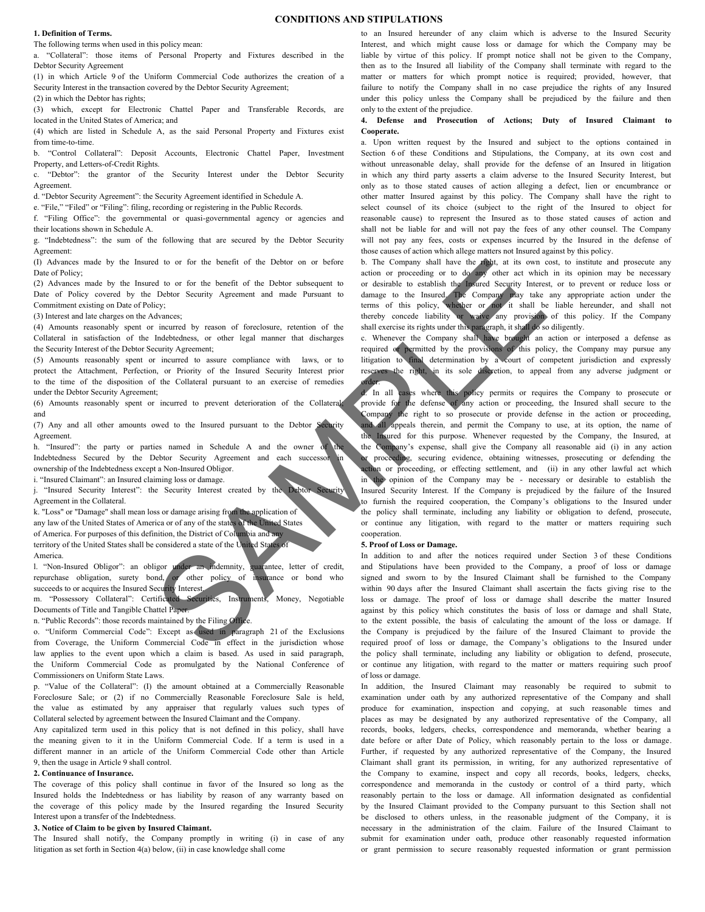## **CONDITIONS AND STIPULATIONS**

#### **1. Definition of Terms.**

The following terms when used in this policy mean:

a. "Collateral": those items of Personal Property and Fixtures described in the Debtor Security Agreement

(1) in which Article 9 of the Uniform Commercial Code authorizes the creation of a Security Interest in the transaction covered by the Debtor Security Agreement; (2) in which the Debtor has rights;

(3) which, except for Electronic Chattel Paper and Transferable Records, are located in the United States of America; and

(4) which are listed in Schedule A, as the said Personal Property and Fixtures exist from time-to-time.

b. "Control Collateral": Deposit Accounts, Electronic Chattel Paper, Investment Property, and Letters-of-Credit Rights.

c. "Debtor": the grantor of the Security Interest under the Debtor Security Agreement.

d. "Debtor Security Agreement": the Security Agreement identified in Schedule A.

e. "File," "Filed" or "Filing": filing, recording or registering in the Public Records.

f. "Filing Office": the governmental or quasi-governmental agency or agencies and their locations shown in Schedule A.

g. "Indebtedness": the sum of the following that are secured by the Debtor Security Agreement:

(I) Advances made by the Insured to or for the benefit of the Debtor on or before Date of Policy;

(2) Advances made by the Insured to or for the benefit of the Debtor subsequent to Date of Policy covered by the Debtor Security Agreement and made Pursuant to Commitment existing on Date of Policy;

(3) Interest and late charges on the Advances;

(4) Amounts reasonably spent or incurred by reason of foreclosure, retention of the Collateral in satisfaction of the Indebtedness, or other legal manner that discharges the Security Interest of the Debtor Security Agreement;

(5) Amounts reasonably spent or incurred to assure compliance with laws, or to protect the Attachment, Perfection, or Priority of the Insured Security Interest prior to the time of the disposition of the Collateral pursuant to an exercise of remedies under the Debtor Security Agreement;

(6) Amounts reasonably spent or incurred to prevent deterioration of the Collateral; and

(7) Any and all other amounts owed to the Insured pursuant to the Debtor Security Agreement.

h. "Insured": the party or parties named in Schedule A and the owner of Indebtedness Secured by the Debtor Security Agreement and each successor ownership of the Indebtedness except a Non-Insured Obligor.

i. "Insured Claimant": an Insured claiming loss or damage.

j. "Insured Security Interest": the Security Interest created by the Debtor Security Agreement in the Collateral.

k. "Loss" or "Damage" shall mean loss or damage arising from the application of any law of the United States of America or of any of the states of the United States of America. For purposes of this definition, the District of Columbia and any territory of the United States shall be considered a state of the United States of America.

l. "Non-Insured Obligor": an obligor under an indemnity, guarantee, letter of credit,

repurchase obligation, surety bond, or other policy of insurance or bond who succeeds to or acquires the Insured Security Interest. m. "Possessory Collateral": Certificated Securities, Instruments, Money, Negotiable

Documents of Title and Tangible Chattel Paper.

n. "Public Records": those records maintained by the Filing Office.

o. "Uniform Commercial Code": Except as used in paragraph 21 of the Exclusions from Coverage, the Uniform Commercial Code in effect in the jurisdiction whose law applies to the event upon which a claim is based. As used in said paragraph, the Uniform Commercial Code as promulgated by the National Conference of Commissioners on Uniform State Laws.

p. "Value of the Collateral": (I) the amount obtained at a Commercially Reasonable Foreclosure Sale; or (2) if no Commercially Reasonable Foreclosure Sale is held, the value as estimated by any appraiser that regularly values such types of Collateral selected by agreement between the Insured Claimant and the Company.

Any capitalized term used in this policy that is not defined in this policy, shall have the meaning given to it in the Uniform Commercial Code. If a term is used in a different manner in an article of the Uniform Commercial Code other than Article 9, then the usage in Article 9 shall control.

## **2. Continuance of Insurance.**

The coverage of this policy shall continue in favor of the Insured so long as the Insured holds the Indebtedness or has liability by reason of any warranty based on the coverage of this policy made by the Insured regarding the Insured Security Interest upon a transfer of the Indebtedness.

## **3. Notice of Claim to be given by Insured Claimant.**

The Insured shall notify, the Company promptly in writing (i) in case of any litigation as set forth in Section 4(a) below, (ii) in case knowledge shall come

to an Insured hereunder of any claim which is adverse to the Insured Security Interest, and which might cause loss or damage for which the Company may be liable by virtue of this policy. If prompt notice shall not be given to the Company, then as to the Insured all liability of the Company shall terminate with regard to the matter or matters for which prompt notice is required; provided, however, that failure to notify the Company shall in no case prejudice the rights of any Insured under this policy unless the Company shall be prejudiced by the failure and then only to the extent of the prejudice.

#### **4. Defense and Prosecution of Actions; Duty of Insured Claimant to Cooperate.**

a. Upon written request by the Insured and subject to the options contained in Section 6 of these Conditions and Stipulations, the Company, at its own cost and without unreasonable delay, shall provide for the defense of an Insured in litigation in which any third party asserts a claim adverse to the Insured Security Interest, but only as to those stated causes of action alleging a defect, lien or encumbrance or other matter Insured against by this policy. The Company shall have the right to select counsel of its choice (subject to the right of the Insured to object for reasonable cause) to represent the Insured as to those stated causes of action and shall not be liable for and will not pay the fees of any other counsel. The Company will not pay any fees, costs or expenses incurred by the Insured in the defense of those causes of action which allege matters not Insured against by this policy.

b. The Company shall have the right, at its own cost, to institute and prosecute any action or proceeding or to do any other act which in its opinion may be necessary or desirable to establish the Insured Security Interest, or to prevent or reduce loss or damage to the Insured. The Company may take any appropriate action under the terms of this policy, whether or not it shall be liable hereunder, and shall not thereby concede liability or waive any provision of this policy. If the Company shall exercise its rights under this paragraph, it shall do so diligently.

c. Whenever the Company shall have brought an action or interposed a defense as required or permitted by the provisions of this policy, the Company may pursue any litigation to final determination by a court of competent jurisdiction and expressly reserves the right, in its sole discretion, to appeal from any adverse judgment or order.

In all cases where this policy permits or requires the Company to prosecute or provide for the defense of any action or proceeding, the Insured shall secure to the Company the right to so prosecute or provide defense in the action or proceeding, all appeals therein, and permit the Company to use, at its option, the name of the Insured for this purpose. Whenever requested by the Company, the Insured, at the Company's expense, shall give the Company all reasonable aid (i) in any action proceeding, securing evidence, obtaining witnesses, prosecuting or defending the action or proceeding, or effecting settlement, and (ii) in any other lawful act which in the opinion of the Company may be - necessary or desirable to establish the Insured Security Interest. If the Company is prejudiced by the failure of the Insured to furnish the required cooperation, the Company's obligations to the Insured under the policy shall terminate, including any liability or obligation to defend, prosecute, or continue any litigation, with regard to the matter or matters requiring such cooperation. ed to or for the benefit of the Debtor on or before the same and accumulate the distance of the Debtor scheme of the Debtor scheme of the property Agreement and made Pursuant to or desirable to easiable of the property of

# **5. Proof of Loss or Damage.**

In addition to and after the notices required under Section 3 of these Conditions and Stipulations have been provided to the Company, a proof of loss or damage signed and sworn to by the Insured Claimant shall be furnished to the Company within 90 days after the Insured Claimant shall ascertain the facts giving rise to the loss or damage. The proof of loss or damage shall describe the matter Insured against by this policy which constitutes the basis of loss or damage and shall State, to the extent possible, the basis of calculating the amount of the loss or damage. If the Company is prejudiced by the failure of the Insured Claimant to provide the required proof of loss or damage, the Company's obligations to the Insured under the policy shall terminate, including any liability or obligation to defend, prosecute, or continue any litigation, with regard to the matter or matters requiring such proof of loss or damage.

In addition, the Insured Claimant may reasonably be required to submit to examination under oath by any authorized representative of the Company and shall produce for examination, inspection and copying, at such reasonable times and places as may be designated by any authorized representative of the Company, all records, books, ledgers, checks, correspondence and memoranda, whether bearing a date before or after Date of Policy, which reasonably pertain to the loss or damage. Further, if requested by any authorized representative of the Company, the Insured Claimant shall grant its permission, in writing, for any authorized representative of the Company to examine, inspect and copy all records, books, ledgers, checks, correspondence and memoranda in the custody or control of a third party, which reasonably pertain to the loss or damage. All information designated as confidential by the Insured Claimant provided to the Company pursuant to this Section shall not be disclosed to others unless, in the reasonable judgment of the Company, it is necessary in the administration of the claim. Failure of the Insured Claimant to submit for examination under oath, produce other reasonably requested information or grant permission to secure reasonably requested information or grant permission